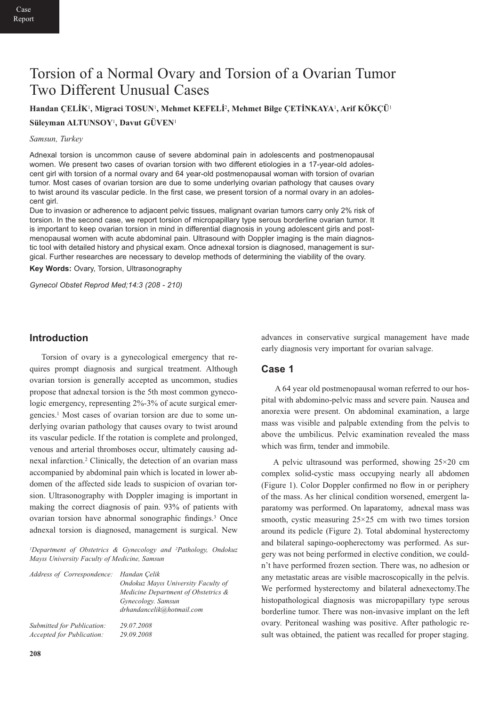# Torsion of a Normal Ovary and Torsion of a Ovarian Tumor Two Different Unusual Cases

**Handan ÇELİK**1**, Migraci TOSUN**1**, Mehmet KEFELİ**2**, Mehmet Bilge ÇETİNKAYA**1**, Arif KÖKÇÜ**<sup>1</sup>

#### **Süleyman ALTUNSOY**1**, Davut GÜVEN**<sup>1</sup>

#### *Samsun, Turkey*

Adnexal torsion is uncommon cause of severe abdominal pain in adolescents and postmenopausal women. We present two cases of ovarian torsion with two different etiologies in a 17-year-old adolescent girl with torsion of a normal ovary and 64 year-old postmenopausal woman with torsion of ovarian tumor. Most cases of ovarian torsion are due to some underlying ovarian pathology that causes ovary to twist around its vascular pedicle. In the first case, we present torsion of a normal ovary in an adolescent girl.

Due to invasion or adherence to adjacent pelvic tissues, malignant ovarian tumors carry only 2% risk of torsion. In the second case, we report torsion of micropapillary type serous borderline ovarian tumor. It is important to keep ovarian torsion in mind in differential diagnosis in young adolescent girls and postmenopausal women with acute abdominal pain. Ultrasound with Doppler imaging is the main diagnostic tool with detailed history and physical exam. Once adnexal torsion is diagnosed, management is surgical. Further researches are necessary to develop methods of determining the viability of the ovary.

**Key Words:** Ovary, Torsion, Ultrasonography

*Gynecol Obstet Reprod Med;14:3 (208 - 210)*

## **Introduction**

Torsion of ovary is a gynecological emergency that requires prompt diagnosis and surgical treatment. Although ovarian torsion is generally accepted as uncommon, studies propose that adnexal torsion is the 5th most common gynecologic emergency, representing 2%-3% of acute surgical emergencies.1 Most cases of ovarian torsion are due to some underlying ovarian pathology that causes ovary to twist around its vascular pedicle. If the rotation is complete and prolonged, venous and arterial thromboses occur, ultimately causing adnexal infarction.2 Clinically, the detection of an ovarian mass accompanied by abdominal pain which is located in lower abdomen of the affected side leads to suspicion of ovarian torsion. Ultrasonography with Doppler imaging is important in making the correct diagnosis of pain. 93% of patients with ovarian torsion have abnormal sonographic findings.3 Once adnexal torsion is diagnosed, management is surgical. New

*1Department of Obstetrics & Gynecology and 2Pathology, Ondokuz Mayıs University Faculty of Medicine, Samsun*

| Address of Correspondence: Handan Çelik | Ondokuz Mayıs University Faculty of<br>Medicine Department of Obstetrics &<br>Gynecology. Samsun<br>drhandancelik@hotmail.com |
|-----------------------------------------|-------------------------------------------------------------------------------------------------------------------------------|
| Submitted for Publication:              | 29.07.2008                                                                                                                    |
| Accepted for Publication:               | 29.09.2008                                                                                                                    |

advances in conservative surgical management have made early diagnosis very important for ovarian salvage.

## **Case 1**

A 64 year old postmenopausal woman referred to our hospital with abdomino-pelvic mass and severe pain. Nausea and anorexia were present. On abdominal examination, a large mass was visible and palpable extending from the pelvis to above the umbilicus. Pelvic examination revealed the mass which was firm, tender and immobile.

A pelvic ultrasound was performed, showing 25×20 cm complex solid-cystic mass occupying nearly all abdomen (Figure 1). Color Doppler confirmed no flow in or periphery of the mass. As her clinical condition worsened, emergent laparatomy was performed. On laparatomy, adnexal mass was smooth, cystic measuring 25×25 cm with two times torsion around its pedicle (Figure 2). Total abdominal hysterectomy and bilateral sapingo-oopherectomy was performed. As surgery was not being performed in elective condition, we couldn't have performed frozen section. There was, no adhesion or any metastatic areas are visible macroscopically in the pelvis. We performed hysterectomy and bilateral adnexectomy.The histopathological diagnosis was micropapillary type serous borderline tumor. There was non-invasive implant on the left ovary. Peritoneal washing was positive. After pathologic result was obtained, the patient was recalled for proper staging.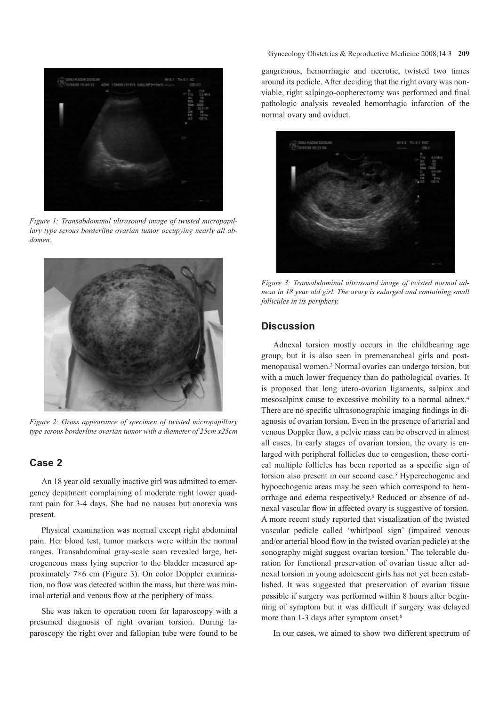

*Figure 1: Transabdominal ultrasound image of twisted micropapillary type serous borderline ovarian tumor occupying nearly all abdomen.*



*Figure 2: Gross appearance of specimen of twisted micropapillary type serous borderline ovarian tumor with a diameter of 25cm x25cm*

## **Case 2**

An 18 year old sexually inactive girl was admitted to emergency depatment complaining of moderate right lower quadrant pain for 3-4 days. She had no nausea but anorexia was present.

Physical examination was normal except right abdominal pain. Her blood test, tumor markers were within the normal ranges. Transabdominal gray-scale scan revealed large, heterogeneous mass lying superior to the bladder measured approximately 7×6 cm (Figure 3). On color Doppler examination, no flow was detected within the mass, but there was minimal arterial and venous flow at the periphery of mass.

She was taken to operation room for laparoscopy with a presumed diagnosis of right ovarian torsion. During laparoscopy the right over and fallopian tube were found to be Gynecology Obstetrics & Reproductive Medicine 2008;14:3 **209**

gangrenous, hemorrhagic and necrotic, twisted two times around its pedicle. After deciding that the right ovary was nonviable, right salpingo-oopherectomy was performed and final pathologic analysis revealed hemorrhagic infarction of the normal ovary and oviduct.



*Figure 3: Transabdominal ultrasound image of twisted normal adnexa in 18 year old girl. The ovary is enlarged and containing small follicüles in its periphery.*

## **Discussion**

Adnexal torsion mostly occurs in the childbearing age group, but it is also seen in premenarcheal girls and postmenopausal women.3 Normal ovaries can undergo torsion, but with a much lower frequency than do pathological ovaries. It is proposed that long utero-ovarian ligaments, salpinx and mesosalpinx cause to excessive mobility to a normal adnex.4 There are no specific ultrasonographic imaging findings in diagnosis of ovarian torsion. Even in the presence of arterial and venous Doppler flow, a pelvic mass can be observed in almost all cases. In early stages of ovarian torsion, the ovary is enlarged with peripheral follicles due to congestion, these cortical multiple follicles has been reported as a specific sign of torsion also present in our second case.5 Hyperechogenic and hypoechogenic areas may be seen which correspond to hemorrhage and edema respectively.6 Reduced or absence of adnexal vascular flow in affected ovary is suggestive of torsion. A more recent study reported that visualization of the twisted vascular pedicle called 'whirlpool sign' (impaired venous and/or arterial blood flow in the twisted ovarian pedicle) at the sonography might suggest ovarian torsion.<sup>7</sup> The tolerable duration for functional preservation of ovarian tissue after adnexal torsion in young adolescent girls has not yet been established. It was suggested that preservation of ovarian tissue possible if surgery was performed within 8 hours after beginning of symptom but it was difficult if surgery was delayed more than 1-3 days after symptom onset.<sup>8</sup>

In our cases, we aimed to show two different spectrum of